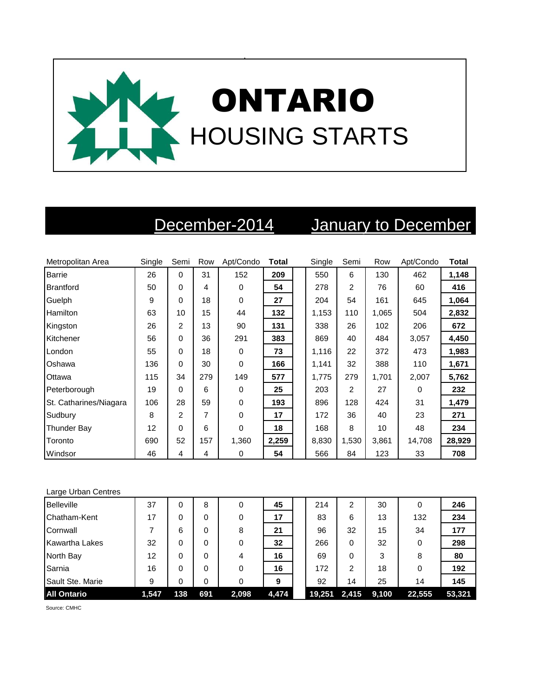

## December-2014 January to December

| Metropolitan Area      | Single | Semi     | Row | Apt/Condo   | <b>Total</b> | Single | Semi           | Row   | Apt/Condo | <b>Total</b> |
|------------------------|--------|----------|-----|-------------|--------------|--------|----------------|-------|-----------|--------------|
| <b>Barrie</b>          | 26     | 0        | 31  | 152         | 209          | 550    | 6              | 130   | 462       | 1,148        |
| Brantford              | 50     | 0        | 4   | $\mathbf 0$ | 54           | 278    | $\overline{2}$ | 76    | 60        | 416          |
| Guelph                 | 9      | $\Omega$ | 18  | 0           | 27           | 204    | 54             | 161   | 645       | 1,064        |
| Hamilton               | 63     | 10       | 15  | 44          | 132          | 1,153  | 110            | 1,065 | 504       | 2,832        |
| Kingston               | 26     | 2        | 13  | 90          | 131          | 338    | 26             | 102   | 206       | 672          |
| Kitchener              | 56     | 0        | 36  | 291         | 383          | 869    | 40             | 484   | 3,057     | 4,450        |
| London                 | 55     | 0        | 18  | 0           | 73           | 1,116  | 22             | 372   | 473       | 1,983        |
| Oshawa                 | 136    | 0        | 30  | $\mathbf 0$ | 166          | 1,141  | 32             | 388   | 110       | 1,671        |
| Ottawa                 | 115    | 34       | 279 | 149         | 577          | 1,775  | 279            | 1,701 | 2,007     | 5,762        |
| Peterborough           | 19     | 0        | 6   | 0           | 25           | 203    | $\overline{2}$ | 27    | 0         | 232          |
| St. Catharines/Niagara | 106    | 28       | 59  | 0           | 193          | 896    | 128            | 424   | 31        | 1,479        |
| Sudbury                | 8      | 2        | 7   | 0           | 17           | 172    | 36             | 40    | 23        | 271          |
| Thunder Bay            | 12     | 0        | 6   | 0           | 18           | 168    | 8              | 10    | 48        | 234          |
| Toronto                | 690    | 52       | 157 | 1,360       | 2,259        | 8,830  | 1,530          | 3,861 | 14,708    | 28,929       |
| Windsor                | 46     | 4        | 4   | 0           | 54           | 566    | 84             | 123   | 33        | 708          |

| Large Urban Centres |       |     |     |       |       |        |       |       |        |        |
|---------------------|-------|-----|-----|-------|-------|--------|-------|-------|--------|--------|
| <b>Belleville</b>   | 37    | 0   | 8   | 0     | 45    | 214    | 2     | 30    | 0      | 246    |
| Chatham-Kent        | 17    | 0   | 0   | 0     | 17    | 83     | 6     | 13    | 132    | 234    |
| Cornwall            | 7     | 6   | 0   | 8     | 21    | 96     | 32    | 15    | 34     | 177    |
| Kawartha Lakes      | 32    | 0   | 0   | 0     | 32    | 266    | 0     | 32    | 0      | 298    |
| North Bay           | 12    | 0   | 0   | 4     | 16    | 69     | 0     | 3     | 8      | 80     |
| Sarnia              | 16    | 0   | 0   | 0     | 16    | 172    | 2     | 18    | 0      | 192    |
| Sault Ste. Marie    | 9     | 0   | 0   | 0     | 9     | 92     | 14    | 25    | 14     | 145    |
| <b>All Ontario</b>  | 1,547 | 138 | 691 | 2,098 | 4,474 | 19,251 | 2,415 | 9,100 | 22,555 | 53,321 |

Source: CMHC